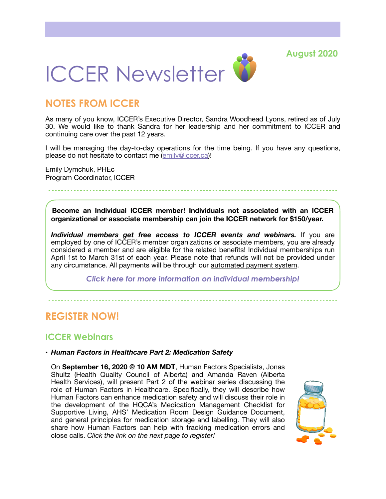**August 2020**



# **NOTES FROM ICCER**

As many of you know, ICCER's Executive Director, Sandra Woodhead Lyons, retired as of July 30. We would like to thank Sandra for her leadership and her commitment to ICCER and continuing care over the past 12 years.

I will be managing the day-to-day operations for the time being. If you have any questions, please do not hesitate to contact me [\(emily@iccer.ca](mailto:emily@iccer.ca))!

Emily Dymchuk, PHEc Program Coordinator, ICCER

**Become an Individual ICCER member! Individuals not associated with an ICCER organizational or associate membership can join the ICCER network for \$150/year.** 

*Individual members get free access to ICCER events and webinars.* If you are employed by one of ICCER's member organizations or associate members, you are already considered a member and are eligible for the related benefits! Individual memberships run April 1st to March 31st of each year. Please note that refunds will not be provided under any circumstance. All payments will be through our [automated payment system.](https://payment.augustana.ualberta.ca/store/Rehab+Medicine+-+ICCER+Store/)

*[Click here for more information on individual membership!](http://iccer.ca/im.html)* 

# **REGISTER NOW!**

### **ICCER Webinars**

#### • *Human Factors in Healthcare Part 2: Medication Safety*

On **September 16, 2020 @ 10 AM MDT**, Human Factors Specialists, Jonas Shultz (Health Quality Council of Alberta) and Amanda Raven (Alberta Health Services), will present Part 2 of the webinar series discussing the role of Human Factors in Healthcare. Specifically, they will describe how Human Factors can enhance medication safety and will discuss their role in the development of the HQCA's Medication Management Checklist for Supportive Living, AHS' Medication Room Design Guidance Document, and general principles for medication storage and labelling. They will also share how Human Factors can help with tracking medication errors and close calls. *Click the link on the next page to register!* 

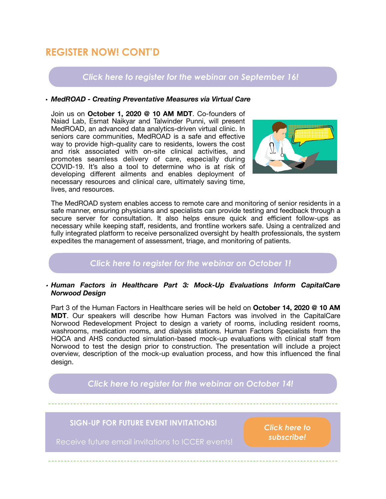# **REGISTER NOW! CONT'D**

## *[Click here to register for the webinar on September 16!](http://events.constantcontact.com/register/event?llr=hnncpkfab&oeidk=a07eh6q1zer8947e724)*

#### **•** *MedROAD - Creating Preventative Measures via Virtual Care*

Join us on **October 1, 2020 @ 10 AM MDT**. Co-founders of Naiad Lab, Esmat Naikyar and Talwinder Punni, will present MedROAD, an advanced data analytics-driven virtual clinic. In seniors care communities, MedROAD is a safe and effective way to provide high-quality care to residents, lowers the cost and risk associated with on-site clinical activities, and promotes seamless delivery of care, especially during COVID-19. It's also a tool to determine who is at risk of developing different ailments and enables deployment of necessary resources and clinical care, ultimately saving time, lives, and resources.



The MedROAD system enables access to remote care and monitoring of senior residents in a safe manner, ensuring physicians and specialists can provide testing and feedback through a secure server for consultation. It also helps ensure quick and efficient follow-ups as necessary while keeping staff, residents, and frontline workers safe. Using a centralized and fully integrated platform to receive personalized oversight by health professionals, the system expedites the management of assessment, triage, and monitoring of patients.

### *[Click here to register for the webinar on October 1!](http://events.constantcontact.com/register/event?llr=hnncpkfab&oeidk=a07eh6y4ekk1272b77b)*

#### *• Human Factors in Healthcare Part 3: Mock-Up Evaluations Inform CapitalCare Norwood Design*

Part 3 of the Human Factors in Healthcare series will be held on **October 14, 2020 @ 10 AM MDT**. Our speakers will describe how Human Factors was involved in the CapitalCare Norwood Redevelopment Project to design a variety of rooms, including resident rooms, washrooms, medication rooms, and dialysis stations. Human Factors Specialists from the HQCA and AHS conducted simulation-based mock-up evaluations with clinical staff from Norwood to test the design prior to construction. The presentation will include a project overview, description of the mock-up evaluation process, and how this influenced the final desian.

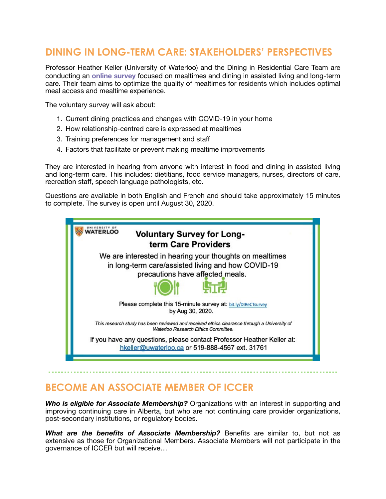# **DINING IN LONG-TERM CARE: STAKEHOLDERS' PERSPECTIVES**

Professor Heather Keller (University of Waterloo) and the Dining in Residential Care Team are conducting an **[online survey](http://bit.ly/DIReCTsurvey)** focused on mealtimes and dining in assisted living and long-term care. Their team aims to optimize the quality of mealtimes for residents which includes optimal meal access and mealtime experience.

The voluntary survey will ask about:

- 1. Current dining practices and changes with COVID-19 in your home
- 2. How relationship-centred care is expressed at mealtimes
- 3. Training preferences for management and staff
- 4. Factors that facilitate or prevent making mealtime improvements

They are interested in hearing from anyone with interest in food and dining in assisted living and long-term care. This includes: dietitians, food service managers, nurses, directors of care, recreation staff, speech language pathologists, etc.

Questions are available in both English and French and should take approximately 15 minutes to complete. The survey is open until August 30, 2020.



## **BECOME AN ASSOCIATE MEMBER OF ICCER**

*Who is eligible for Associate Membership?* Organizations with an interest in supporting and improving continuing care in Alberta, but who are not continuing care provider organizations, post-secondary institutions, or regulatory bodies.

*What are the benefits of Associate Membership?* Benefits are similar to, but not as extensive as those for Organizational Members. Associate Members will not participate in the governance of ICCER but will receive…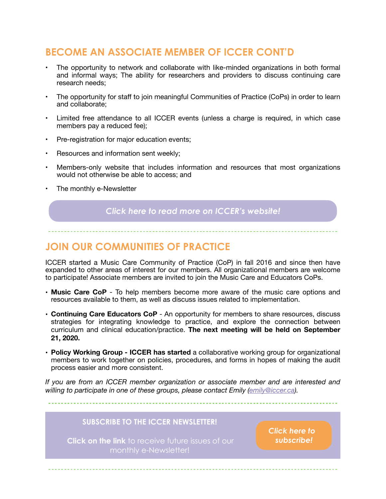# **BECOME AN ASSOCIATE MEMBER OF ICCER CONT'D**

- The opportunity to network and collaborate with like-minded organizations in both formal and informal ways; The ability for researchers and providers to discuss continuing care research needs;
- The opportunity for staff to join meaningful Communities of Practice (CoPs) in order to learn and collaborate;
- Limited free attendance to all ICCER events (unless a charge is required, in which case members pay a reduced fee);
- Pre-registration for major education events;
- Resources and information sent weekly;
- Members-only website that includes information and resources that most organizations would not otherwise be able to access; and
- The monthly e-Newsletter

#### *[Click here to read more on ICCER's website!](http://iccer.ca/am.html)*

## **JOIN OUR COMMUNITIES OF PRACTICE**

ICCER started a Music Care Community of Practice (CoP) in fall 2016 and since then have expanded to other areas of interest for our members. All organizational members are welcome to participate! Associate members are invited to join the Music Care and Educators CoPs.

- **Music Care CoP** To help members become more aware of the music care options and resources available to them, as well as discuss issues related to implementation.
- **Continuing Care Educators CoP** An opportunity for members to share resources, discuss strategies for integrating knowledge to practice, and explore the connection between curriculum and clinical education/practice. **The next meeting will be held on September 21, 2020.**
- **Policy Working Group ICCER has started** a collaborative working group for organizational members to work together on policies, procedures, and forms in hopes of making the audit process easier and more consistent.

*If you are from an ICCER member organization or associate member and are interested and willing to participate in one of these groups, please contact Emily ([emily@iccer.ca](mailto:emily@iccer.ca)).*

#### **SUBSCRIBE TO THE ICCER NEWSLETTER!**

**Click on the link** to receive future issues of our monthly e-Newsletter!

*[Click here to](https://visitor.r20.constantcontact.com/d.jsp?llr=hnncpkfab&p=oi&m=hnncpkfab&sit=xi9oo76fb&f=63438244-acb2-4ce7-9912-0fc44b962bb2)  [subscribe!](https://visitor.r20.constantcontact.com/d.jsp?llr=hnncpkfab&p=oi&m=hnncpkfab&sit=xi9oo76fb&f=63438244-acb2-4ce7-9912-0fc44b962bb2)*